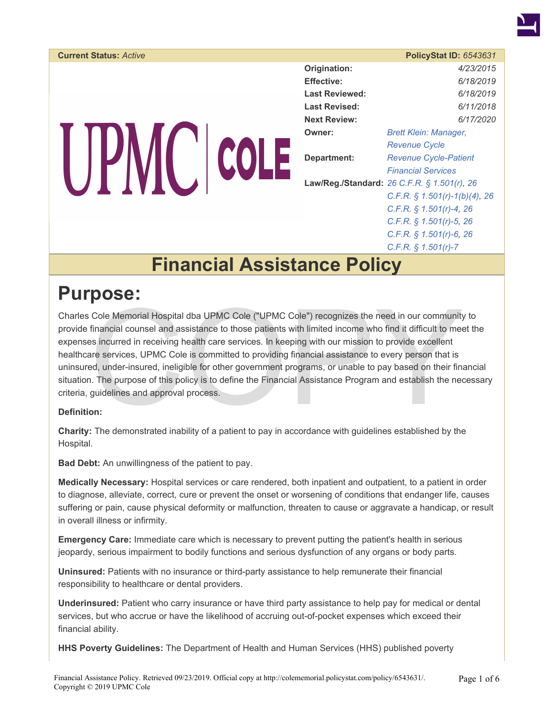

| <b>Current Status: Active</b> |                       | <b>PolicyStat ID: 6543631</b>               |
|-------------------------------|-----------------------|---------------------------------------------|
|                               | Origination:          | 4/23/2015                                   |
|                               | <b>Effective:</b>     | 6/18/2019                                   |
|                               | <b>Last Reviewed:</b> | 6/18/2019                                   |
|                               | <b>Last Revised:</b>  | 6/11/2018                                   |
|                               | <b>Next Review:</b>   | 6/17/2020                                   |
|                               | Owner:                | <b>Brett Klein: Manager,</b>                |
|                               |                       | <b>Revenue Cycle</b>                        |
|                               | Department:           | <b>Revenue Cycle-Patient</b>                |
|                               |                       | <b>Financial Services</b>                   |
|                               |                       | Law/Reg./Standard: 26 C.F.R. § 1.501(r), 26 |
|                               |                       | C.F.R. $\S$ 1.501(r)-1(b)(4), 26            |
|                               |                       | C.F.R. $§ 1.501(r)-4, 26$                   |
|                               |                       | C.F.R. $\S$ 1.501(r)-5, 26                  |
|                               |                       | C.F.R. $§ 1.501(r)-6, 26$                   |
|                               |                       | $C.F.R.$ \$ 1.501(r)-7                      |

### **Financial Assistance Policy**

#### **Purpose:**

Cole Memorial Hospital dba UPMC Cole ("UPMC Cole") recognizes the need in our community<br>financial counsel and assistance to those patients with limited income who find it difficult to mees<br>incurred in receiving health care Charles Cole Memorial Hospital dba UPMC Cole ("UPMC Cole") recognizes the need in our community to provide financial counsel and assistance to those patients with limited income who find it difficult to meet the expenses incurred in receiving health care services. In keeping with our mission to provide excellent healthcare services, UPMC Cole is committed to providing financial assistance to every person that is uninsured, under-insured, ineligible for other government programs, or unable to pay based on their financial situation. The purpose of this policy is to define the Financial Assistance Program and establish the necessary criteria, guidelines and approval process.

#### **Definition:**

**Charity:** The demonstrated inability of a patient to pay in accordance with guidelines established by the Hospital.

**Bad Debt:** An unwillingness of the patient to pay.

**Medically Necessary:** Hospital services or care rendered, both inpatient and outpatient, to a patient in order to diagnose, alleviate, correct, cure or prevent the onset or worsening of conditions that endanger life, causes suffering or pain, cause physical deformity or malfunction, threaten to cause or aggravate a handicap, or result in overall illness or infirmity.

**Emergency Care:** Immediate care which is necessary to prevent putting the patient's health in serious jeopardy, serious impairment to bodily functions and serious dysfunction of any organs or body parts.

**Uninsured:** Patients with no insurance or third-party assistance to help remunerate their financial responsibility to healthcare or dental providers.

**Underinsured:** Patient who carry insurance or have third party assistance to help pay for medical or dental services, but who accrue or have the likelihood of accruing out-of-pocket expenses which exceed their financial ability.

**HHS Poverty Guidelines:** The Department of Health and Human Services (HHS) published poverty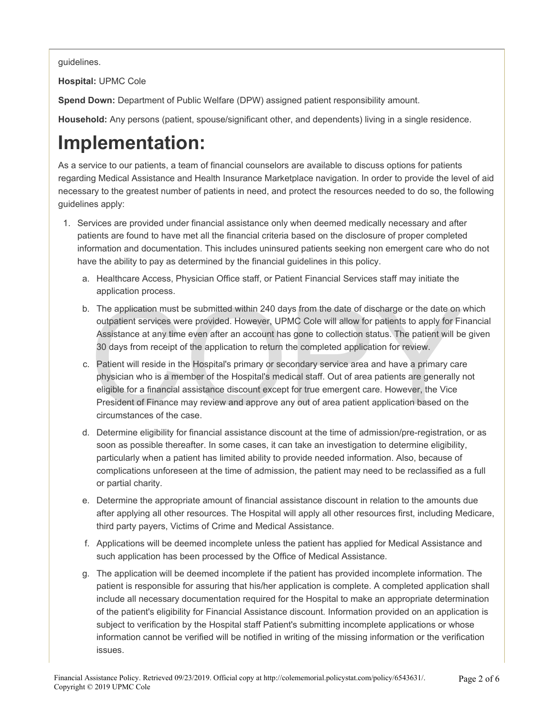guidelines.

**Hospital:** UPMC Cole

**Spend Down:** Department of Public Welfare (DPW) assigned patient responsibility amount.

**Household:** Any persons (patient, spouse/significant other, and dependents) living in a single residence.

## **Implementation:**

As a service to our patients, a team of financial counselors are available to discuss options for patients regarding Medical Assistance and Health Insurance Marketplace navigation. In order to provide the level of aid necessary to the greatest number of patients in need, and protect the resources needed to do so, the following guidelines apply:

- 1. Services are provided under financial assistance only when deemed medically necessary and after patients are found to have met all the financial criteria based on the disclosure of proper completed information and documentation. This includes uninsured patients seeking non emergent care who do not have the ability to pay as determined by the financial guidelines in this policy.
	- a. Healthcare Access, Physician Office staff, or Patient Financial Services staff may initiate the application process.
	- b. The application must be submitted within 240 days from the date of discharge or the date on which outpatient services were provided. However, UPMC Cole will allow for patients to apply for Financial Assistance at any time even after an account has gone to collection status. The patient will be given 30 days from receipt of the application to return the completed application for review.
	- The application must be submitted within 240 days from the date of discharge or the date on outpatient services were provided. However, UPMC Cole will allow for patients to apply for Fil<br>Assistance at any time even after a c. Patient will reside in the Hospital's primary or secondary service area and have a primary care physician who is a member of the Hospital's medical staff. Out of area patients are generally not eligible for a financial assistance discount except for true emergent care. However, the Vice President of Finance may review and approve any out of area patient application based on the circumstances of the case.
	- d. Determine eligibility for financial assistance discount at the time of admission/pre-registration, or as soon as possible thereafter. In some cases, it can take an investigation to determine eligibility, particularly when a patient has limited ability to provide needed information. Also, because of complications unforeseen at the time of admission, the patient may need to be reclassified as a full or partial charity.
	- e. Determine the appropriate amount of financial assistance discount in relation to the amounts due after applying all other resources. The Hospital will apply all other resources first, including Medicare, third party payers, Victims of Crime and Medical Assistance.
	- f. Applications will be deemed incomplete unless the patient has applied for Medical Assistance and such application has been processed by the Office of Medical Assistance.
	- g. The application will be deemed incomplete if the patient has provided incomplete information. The patient is responsible for assuring that his/her application is complete. A completed application shall include all necessary documentation required for the Hospital to make an appropriate determination of the patient's eligibility for Financial Assistance discount. Information provided on an application is subject to verification by the Hospital staff Patient's submitting incomplete applications or whose information cannot be verified will be notified in writing of the missing information or the verification issues.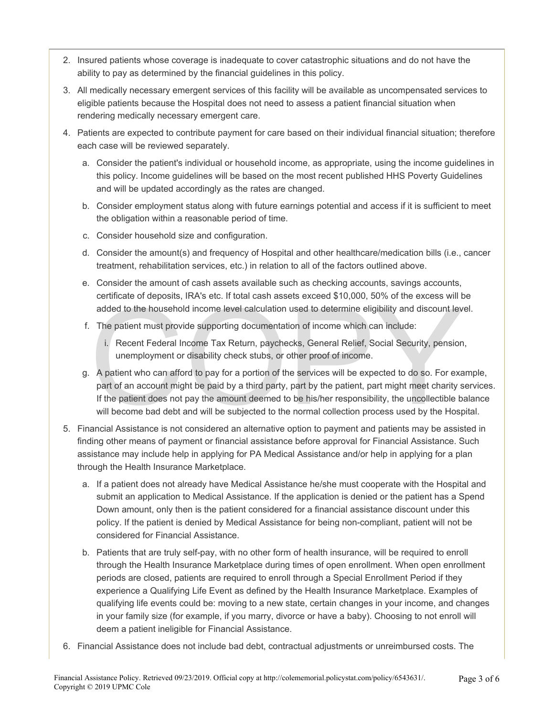- 2. Insured patients whose coverage is inadequate to cover catastrophic situations and do not have the ability to pay as determined by the financial guidelines in this policy.
- 3. All medically necessary emergent services of this facility will be available as uncompensated services to eligible patients because the Hospital does not need to assess a patient financial situation when rendering medically necessary emergent care.
- 4. Patients are expected to contribute payment for care based on their individual financial situation; therefore each case will be reviewed separately.
	- a. Consider the patient's individual or household income, as appropriate, using the income guidelines in this policy. Income guidelines will be based on the most recent published HHS Poverty Guidelines and will be updated accordingly as the rates are changed.
	- b. Consider employment status along with future earnings potential and access if it is sufficient to meet the obligation within a reasonable period of time.
	- c. Consider household size and configuration.
	- d. Consider the amount(s) and frequency of Hospital and other healthcare/medication bills (i.e., cancer treatment, rehabilitation services, etc.) in relation to all of the factors outlined above.
	- e. Consider the amount of cash assets available such as checking accounts, savings accounts, certificate of deposits, IRA's etc. If total cash assets exceed \$10,000, 50% of the excess will be added to the household income level calculation used to determine eligibility and discount level.
	- f. The patient must provide supporting documentation of income which can include:
		- i. Recent Federal Income Tax Return, paychecks, General Relief, Social Security, pension, unemployment or disability check stubs, or other proof of income.
	- ectionate of deposits, invitation. In their cash assets exceed  $\psi$  ro, so to the excess will added to the household income level calculation used to determine eligibility and discount lev<br>The patient must provide supporti g. A patient who can afford to pay for a portion of the services will be expected to do so. For example, part of an account might be paid by a third party, part by the patient, part might meet charity services. If the patient does not pay the amount deemed to be his/her responsibility, the uncollectible balance will become bad debt and will be subjected to the normal collection process used by the Hospital.
- 5. Financial Assistance is not considered an alternative option to payment and patients may be assisted in finding other means of payment or financial assistance before approval for Financial Assistance. Such assistance may include help in applying for PA Medical Assistance and/or help in applying for a plan through the Health Insurance Marketplace.
	- a. If a patient does not already have Medical Assistance he/she must cooperate with the Hospital and submit an application to Medical Assistance. If the application is denied or the patient has a Spend Down amount, only then is the patient considered for a financial assistance discount under this policy. If the patient is denied by Medical Assistance for being non-compliant, patient will not be considered for Financial Assistance.
	- b. Patients that are truly self-pay, with no other form of health insurance, will be required to enroll through the Health Insurance Marketplace during times of open enrollment. When open enrollment periods are closed, patients are required to enroll through a Special Enrollment Period if they experience a Qualifying Life Event as defined by the Health Insurance Marketplace. Examples of qualifying life events could be: moving to a new state, certain changes in your income, and changes in your family size (for example, if you marry, divorce or have a baby). Choosing to not enroll will deem a patient ineligible for Financial Assistance.
- 6. Financial Assistance does not include bad debt, contractual adjustments or unreimbursed costs. The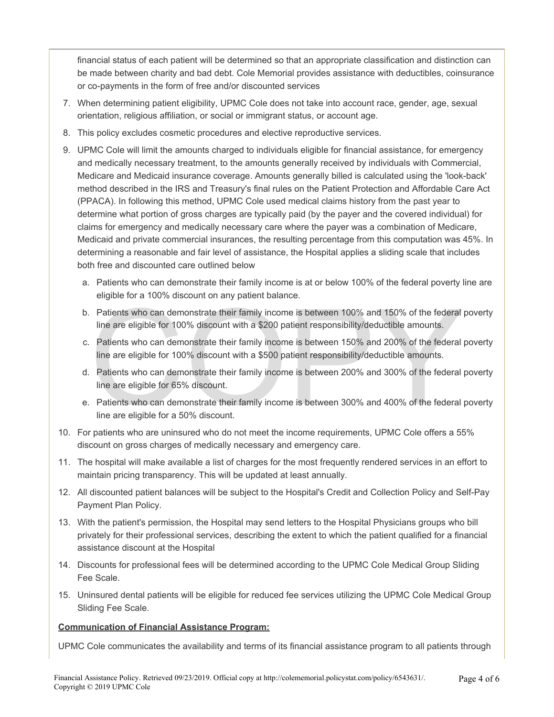financial status of each patient will be determined so that an appropriate classification and distinction can be made between charity and bad debt. Cole Memorial provides assistance with deductibles, coinsurance or co-payments in the form of free and/or discounted services

- 7. When determining patient eligibility, UPMC Cole does not take into account race, gender, age, sexual orientation, religious affiliation, or social or immigrant status, or account age.
- 8. This policy excludes cosmetic procedures and elective reproductive services.
- 9. UPMC Cole will limit the amounts charged to individuals eligible for financial assistance, for emergency and medically necessary treatment, to the amounts generally received by individuals with Commercial, Medicare and Medicaid insurance coverage. Amounts generally billed is calculated using the 'look-back' method described in the IRS and Treasury's final rules on the Patient Protection and Affordable Care Act (PPACA). In following this method, UPMC Cole used medical claims history from the past year to determine what portion of gross charges are typically paid (by the payer and the covered individual) for claims for emergency and medically necessary care where the payer was a combination of Medicare, Medicaid and private commercial insurances, the resulting percentage from this computation was 45%. In determining a reasonable and fair level of assistance, the Hospital applies a sliding scale that includes both free and discounted care outlined below
	- a. Patients who can demonstrate their family income is at or below 100% of the federal poverty line are eligible for a 100% discount on any patient balance.
	- b. Patients who can demonstrate their family income is between 100% and 150% of the federal poverty line are eligible for 100% discount with a \$200 patient responsibility/deductible amounts.
	- Patients who can demonstrate their family income is between 100% and 150% of the federal<br>line are eligible for 100% discount with a \$200 patient responsibility/deductible amounts.<br>Patients who can demonstrate their family c. Patients who can demonstrate their family income is between 150% and 200% of the federal poverty line are eligible for 100% discount with a \$500 patient responsibility/deductible amounts.
	- d. Patients who can demonstrate their family income is between 200% and 300% of the federal poverty line are eligible for 65% discount.
	- e. Patients who can demonstrate their family income is between 300% and 400% of the federal poverty line are eligible for a 50% discount.
- 10. For patients who are uninsured who do not meet the income requirements, UPMC Cole offers a 55% discount on gross charges of medically necessary and emergency care.
- 11. The hospital will make available a list of charges for the most frequently rendered services in an effort to maintain pricing transparency. This will be updated at least annually.
- 12. All discounted patient balances will be subject to the Hospital's Credit and Collection Policy and Self-Pay Payment Plan Policy.
- 13. With the patient's permission, the Hospital may send letters to the Hospital Physicians groups who bill privately for their professional services, describing the extent to which the patient qualified for a financial assistance discount at the Hospital
- 14. Discounts for professional fees will be determined according to the UPMC Cole Medical Group Sliding Fee Scale.
- 15. Uninsured dental patients will be eligible for reduced fee services utilizing the UPMC Cole Medical Group Sliding Fee Scale.

#### **Communication of Financial Assistance Program:**

UPMC Cole communicates the availability and terms of its financial assistance program to all patients through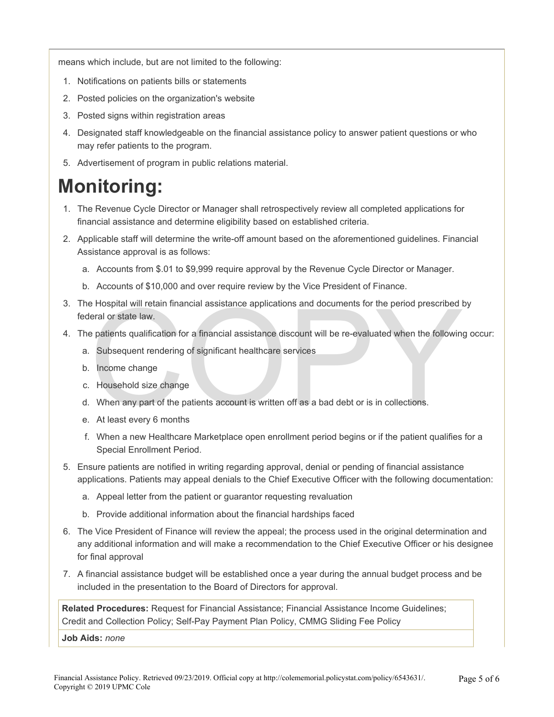means which include, but are not limited to the following:

- 1. Notifications on patients bills or statements
- 2. Posted policies on the organization's website
- 3. Posted signs within registration areas
- 4. Designated staff knowledgeable on the financial assistance policy to answer patient questions or who may refer patients to the program.
- 5. Advertisement of program in public relations material.

## **Monitoring:**

- 1. The Revenue Cycle Director or Manager shall retrospectively review all completed applications for financial assistance and determine eligibility based on established criteria.
- 2. Applicable staff will determine the write-off amount based on the aforementioned guidelines. Financial Assistance approval is as follows:
	- a. Accounts from \$.01 to \$9,999 require approval by the Revenue Cycle Director or Manager.
	- b. Accounts of \$10,000 and over require review by the Vice President of Finance.
- Expection in the period prescribed that and distributed the period prescribed that are period in the spatients qualification for a financial assistance discount will be re-evaluated when the following Subsequent rendering 3. The Hospital will retain financial assistance applications and documents for the period prescribed by federal or state law.
- 4. The patients qualification for a financial assistance discount will be re-evaluated when the following occur:
	- a. Subsequent rendering of significant healthcare services
	- b. Income change
	- c. Household size change
	- d. When any part of the patients account is written off as a bad debt or is in collections.
	- e. At least every 6 months
	- f. When a new Healthcare Marketplace open enrollment period begins or if the patient qualifies for a Special Enrollment Period.
- 5. Ensure patients are notified in writing regarding approval, denial or pending of financial assistance applications. Patients may appeal denials to the Chief Executive Officer with the following documentation:
	- a. Appeal letter from the patient or guarantor requesting revaluation
	- b. Provide additional information about the financial hardships faced
- 6. The Vice President of Finance will review the appeal; the process used in the original determination and any additional information and will make a recommendation to the Chief Executive Officer or his designee for final approval
- 7. A financial assistance budget will be established once a year during the annual budget process and be included in the presentation to the Board of Directors for approval.

**Related Procedures:** Request for Financial Assistance; Financial Assistance Income Guidelines; Credit and Collection Policy; Self-Pay Payment Plan Policy, CMMG Sliding Fee Policy

**Job Aids:** *none*